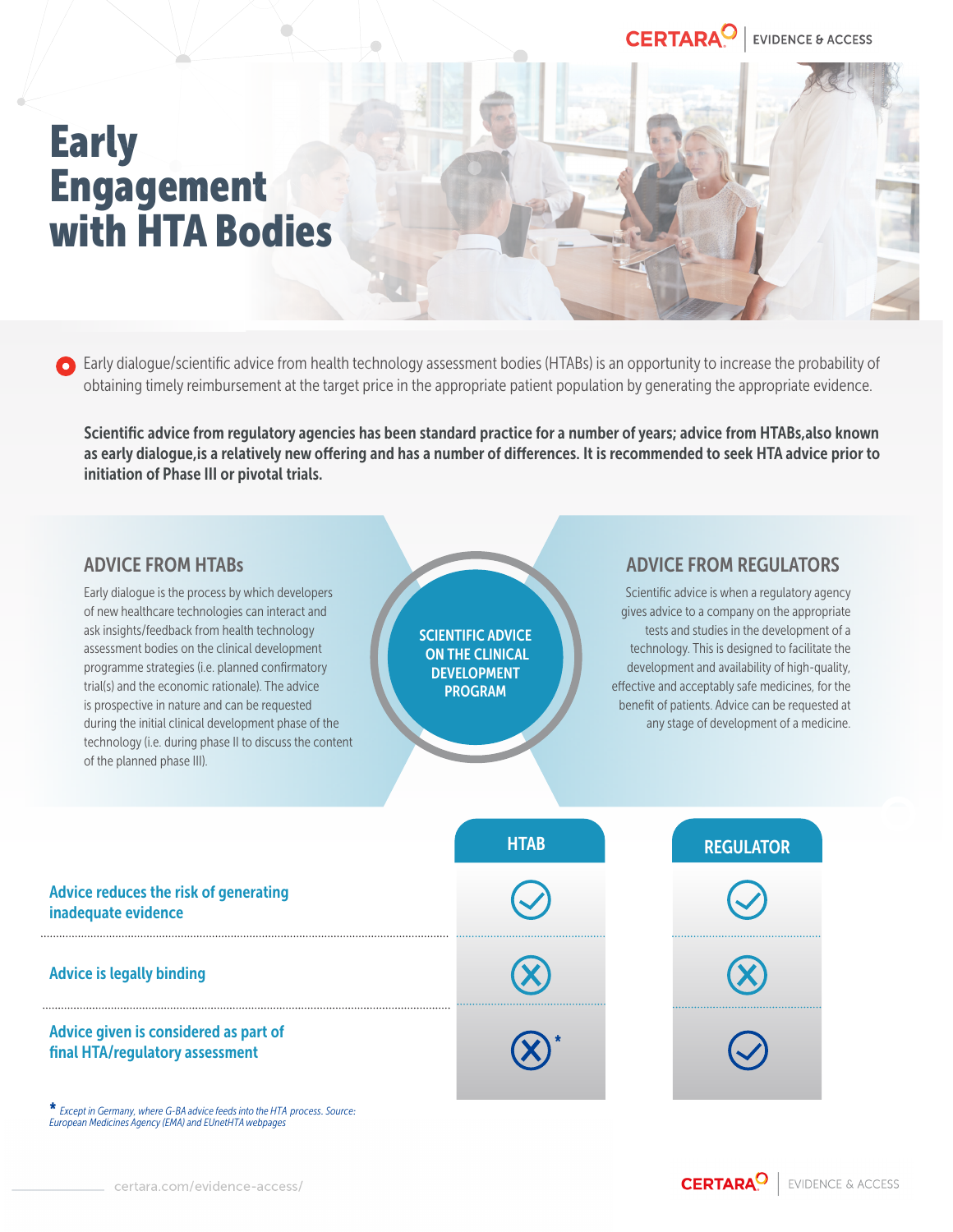# Early **Engagement** with HTA Bodies

**C** Early dialogue/scientific advice from health technology assessment bodies (HTABs) is an opportunity to increase the probability of obtaining timely reimbursement at the target price in the appropriate patient population by generating the appropriate evidence.

Scientific advice from regulatory agencies has been standard practice for a number of years; advice from HTABs,also known as early dialogue,is a relatively new offering and has a number of differences. It is recommended to seek HTA advice prior to initiation of Phase III or pivotal trials.

| <b>ADVICE FROM HTABS</b><br>Early dialogue is the process by which developers<br>of new healthcare technologies can interact and<br>ask insights/feedback from health technology<br>assessment bodies on the clinical development<br>programme strategies (i.e. planned confirmatory<br>trial(s) and the economic rationale). The advice<br>is prospective in nature and can be requested<br>during the initial clinical development phase of the<br>technology (i.e. during phase II to discuss the content<br>of the planned phase III). | <b>SCIENTIFIC ADVICE</b><br><b>ON THE CLINICAL</b><br><b>DEVELOPMENT</b><br><b>PROGRAM</b> | <b>ADVICE FROM REGULATORS</b><br>Scientific advice is when a regulatory agency<br>gives advice to a company on the appropriate<br>tests and studies in the development of a<br>technology. This is designed to facilitate the<br>development and availability of high-quality,<br>effective and acceptably safe medicines, for the<br>benefit of patients. Advice can be requested at<br>any stage of development of a medicine. |
|--------------------------------------------------------------------------------------------------------------------------------------------------------------------------------------------------------------------------------------------------------------------------------------------------------------------------------------------------------------------------------------------------------------------------------------------------------------------------------------------------------------------------------------------|--------------------------------------------------------------------------------------------|----------------------------------------------------------------------------------------------------------------------------------------------------------------------------------------------------------------------------------------------------------------------------------------------------------------------------------------------------------------------------------------------------------------------------------|
|                                                                                                                                                                                                                                                                                                                                                                                                                                                                                                                                            | <b>HTAB</b>                                                                                | <b>REGULATOR</b>                                                                                                                                                                                                                                                                                                                                                                                                                 |
| Advice reduces the risk of generating<br>inadequate evidence                                                                                                                                                                                                                                                                                                                                                                                                                                                                               |                                                                                            |                                                                                                                                                                                                                                                                                                                                                                                                                                  |
| <b>Advice is legally binding</b>                                                                                                                                                                                                                                                                                                                                                                                                                                                                                                           |                                                                                            |                                                                                                                                                                                                                                                                                                                                                                                                                                  |
| Advice given is considered as part of<br>final HTA/regulatory assessment                                                                                                                                                                                                                                                                                                                                                                                                                                                                   |                                                                                            |                                                                                                                                                                                                                                                                                                                                                                                                                                  |

\* *Except in Germany, where G-BA advice feeds into the HTA process. Source: European Medicines Agency (EMA) and EUnetHTA webpages*

**CERTARA<sup>O</sup>** EVIDENCE & ACCESS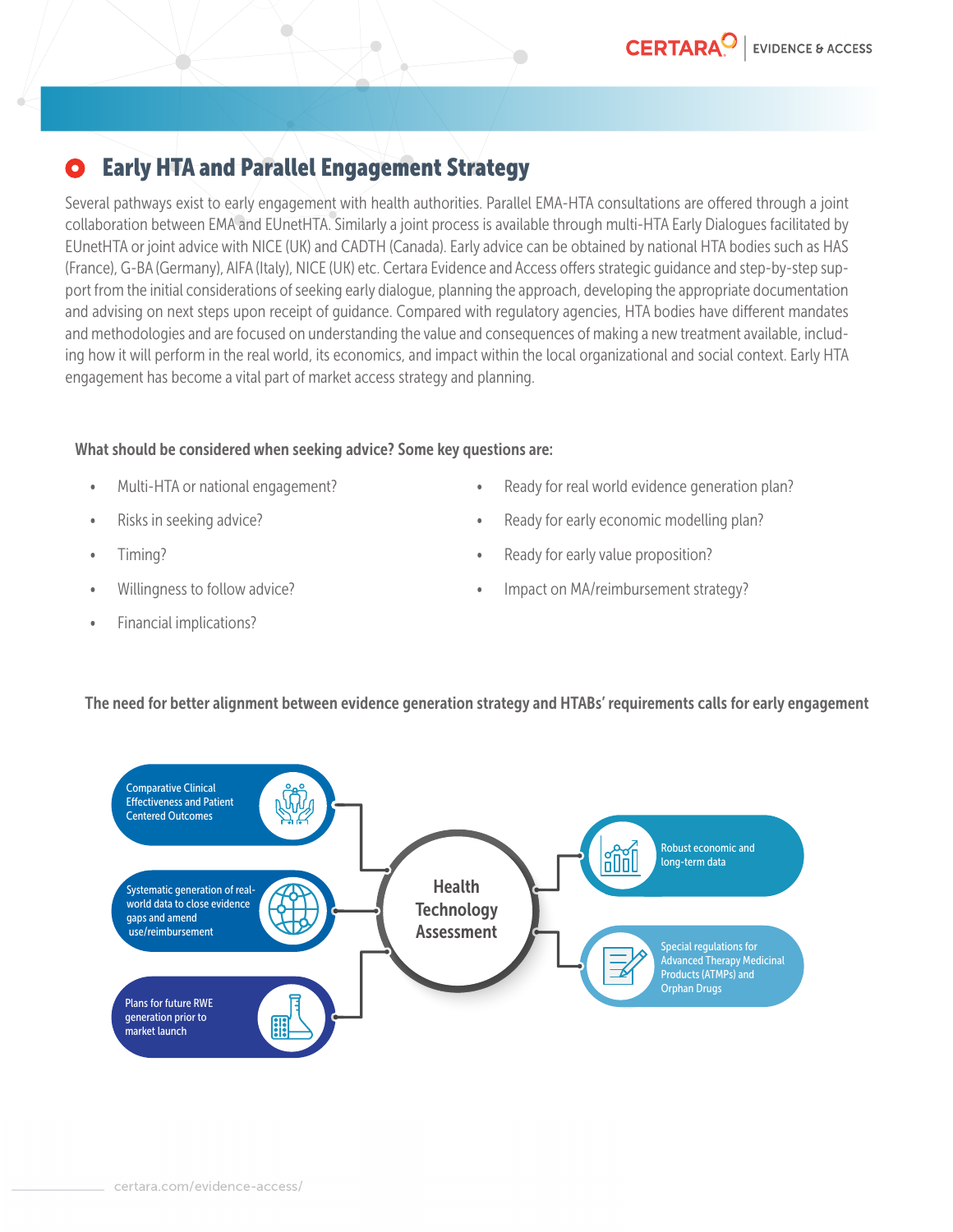#### Early HTA and Parallel Engagement StrategyO

 $\Box$ 

 $\bigcirc$ 

Several pathways exist to early engagement with health authorities. Parallel EMA-HTA consultations are offered through a joint collaboration between EMA and EUnetHTA. Similarly a joint process is available through multi-HTA Early Dialogues facilitated by EUnetHTA or joint advice with NICE (UK) and CADTH (Canada). Early advice can be obtained by national HTA bodies such as HAS (France), G-BA (Germany), AIFA (Italy), NICE (UK) etc. Certara Evidence and Access offers strategic guidance and step-by-step support from the initial considerations of seeking early dialogue, planning the approach, developing the appropriate documentation and advising on next steps upon receipt of guidance. Compared with regulatory agencies, HTA bodies have different mandates and methodologies and are focused on understanding the value and consequences of making a new treatment available, including how it will perform in the real world, its economics, and impact within the local organizational and social context. Early HTA engagement has become a vital part of market access strategy and planning.

 $\Box$ 

#### What should be considered when seeking advice? Some key questions are:

- Multi-HTA or national engagement?
- Risks in seeking advice?
- Timing?
- Willingness to follow advice?
- Financial implications?
- Ready for real world evidence generation plan?
- Ready for early economic modelling plan?
- Ready for early value proposition?
- Impact on MA/reimbursement strategy?

### The need for better alignment between evidence generation strategy and HTABs' requirements calls for early engagement